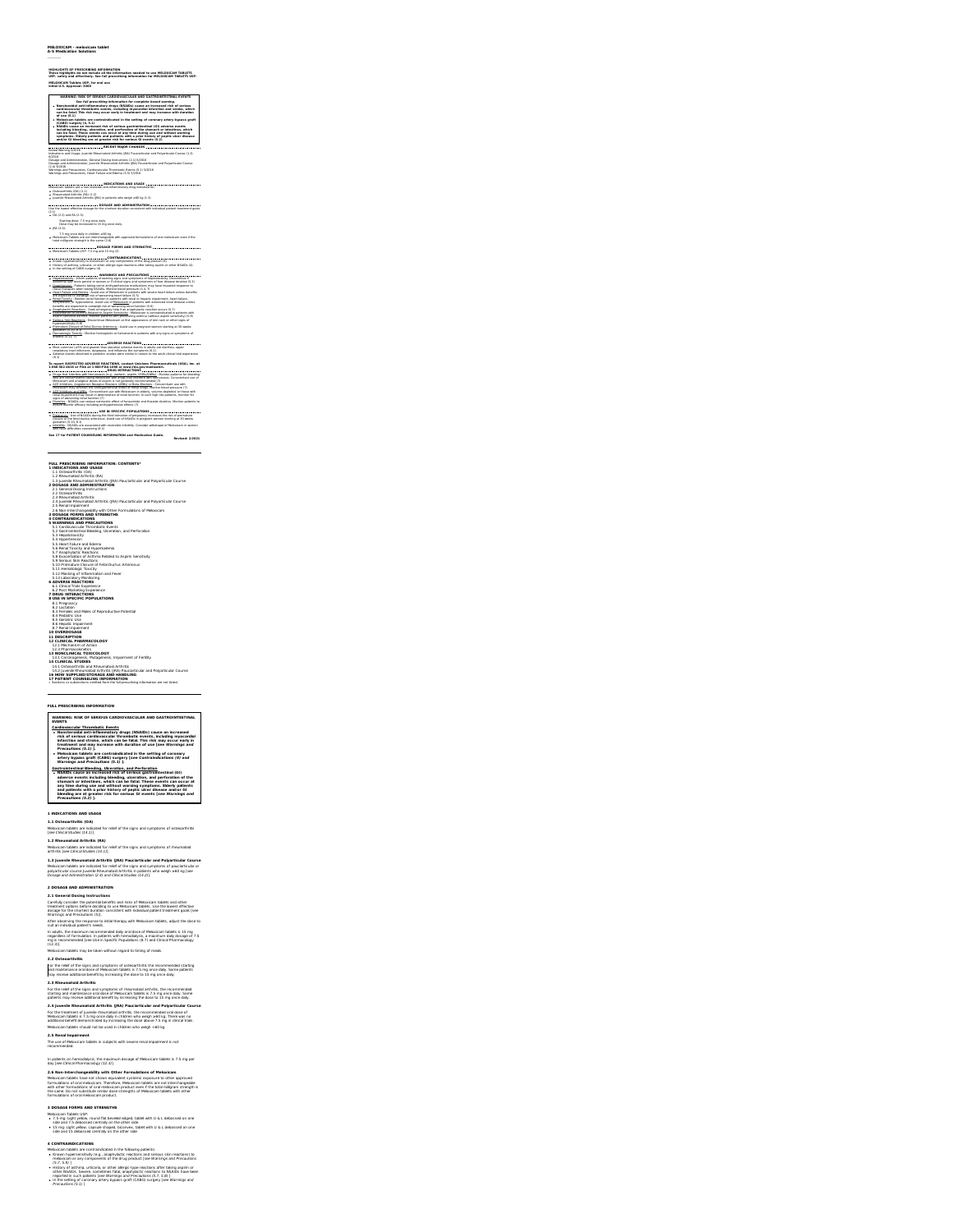### **MELOXICAM - meloxicam tablet A-S Medication Solutions**

## HIGHLIGHTS OF PRESCRIBING WFORMATION<br>These highlights do not include all the information needed to use MELOXICAM TABLETS<br>USP, safely and effectively. See full prescribing information for MELOXICAM TABLETS USP.<br>MEDI/U.S. As

**WARNING: RISK OF SERIOUS CARDIOVASCULAR AND GASTROINTESTINAL EVENTS** See full prescribing information for complete boxed warming.<br>Nonsteroidal anti-inflammatory drugs (HGMDs) cause an increased risk of serious<br>cardiovascular thrombotic events, including myscantial infantism and stroke, whic

## of such (S.),<br>Model and Share and Contraindicated in the setting of coronary artery bypass graft<br>NGMOS cause an increased risk of serious gastronized<br>that is a strained in the serious cause of the serious contraction of th

**RECENT MAJOR CHANGES** Boxed Warning 5/2016 Indications and Usage, Juvenile Rheumatoid Arthritis (JRA) Pauciarticular and Polyarticular Course (1.3) 6/2016 Dosage and Administration, General Dosing Instructions (2.1) 6/2016 Dosage and Administration, Juvenile Rheumatoid Arthritis (JRA) Pauciarticular and Polyarticular Course (2.4) 6/2016 Warnings and Precautions, Cardiovascular Thrombotic Events (5.1) 5/2016 Warnings and Precautions, Heart Failure and Edema (5.5) 5/2016

### **INDICATIONS AND USAGE**

Meloxicam tablets are a non-steroidal anti-inflammatory drug indicated for:<br>● Osteoarthritis (OA) (1.1)<br>● Pheumatoid Arthritis (RA) (1.2)

## + Jovenile Rheumatoid Arthritis (IPA) in patients who weigh a-60 kg (1.3)<br>- How the Same Hill Containers of Contact AND ADMINISTRATION<br>Use the lowest effective dosage for the shortest duration consistent with individual pa

(2.1)<br>OA (2.2) and RA (2.3): Starting dose: 7.5 mg once daily<br>Dose may be increased to 15 mg once daily<br>Do (2.4):

Nach John Romer (1886)<br>Hard Williams (1886) - Schwarz (1893) o shi agcoved formulations of stall medicinan even if the<br>historical procedures in the same (2.6)<br>Medicine Tables (55) - 3 on growth Couples<br>Medicine Tables (55

**WARNINGS AND PRECAUTIONS** Hepatotoxicity : Inform patients of warning signs and symptoms ofhepatotoxicity. Discontinue if abnormal liver tests persist or worsen orif clinical signs and symptoms of liver disease develop (5.3) Hypertension : Patients taking some antihypertensive medications may have impaired response to these therapies when taking NSAIDs. Monitor blood pressure (5.4, 7) Heart Failure and Edema : Avoid use ofMeloxicam in patients with severe heart failure unless benefits are expected to outweigh risk ofworsening heart failure (5.5) Renal Toxicity : Monitor renal function in patients with renal or hepatic impairment, heart failure, dehydration, or hypovolemia. Avoid use of Meloxicam in patients with advanced renal disease unless benefits are expected to outweigh risk ofworsening renal function (5.6) Anaphylactic Reactions : Seek emergency help if an anaphylactic reaction occurs (5.7)

### <u>Exacerbation of Asthma Balated to Aspirin Sensitivity</u> : Meloxicam is contraindicated in patients with<br>aspirin-sensitive asthma. Monitor patients with preexisting asthma (without aspirin sensitivity) (5.0)<br>Serious Skin Ba

hypensentibly(153)<br><u>Prematum Citibura of Fetal Ductus Arterionus</u> : Avoid use in pregnant women starting at 30 weeks<br>|Prematum (5:10, 8:1)<br>|Interia (5:11, 7)|||2012 : Monitor hemoglobin or hematocrit in patients with any s

**ADVERSE REACTIONS** Most common (≥5% and greater than placebo) adverse events in adults are diarrhea, upper respiratory tract infections, dyspepsia, and influenza-like symptoms (6.1) (6.1)<br>(6.1) Most common (6.5)<br>(6.1)<br>(6.1)

 $\alpha$  and the first property and the<br>state of the state of the first property and the state of the state of<br> $\alpha$  and the state of the state of the state<br> $\alpha$  and the state of the state of the state<br> $\alpha$  and the state of th

**USE IN SPECIFIC POPULATIONS** Pregnancy : Use of NSAIDs during the third trimester of pregnancy increases the risk of premature closure ofthe fetal ductus arteriosus. Avoid use ofNSAIDs in pregnant women starting at30 weeks gestation (5.10, 8.1) Infertility : NSAIDs are associated with reversible infertility. Consider withdrawal of Meloxicam in women who have difficulties conceiving (8.3) **See 17 for PATIENT COUNSELING INFORMATION and Medication Guide. Revised: 2/2021**

### **FULL PRESCRIBING INFORMATION: CONTENTS\* 1 INDICATIONS AND USAGE**

1.1 Osteoarthritis (OA) 1.2 Rheumatoid Arthritis (RA) 1.3 Juvenile Rheumatoid Arthritis (JRA) Pauciarticular and Polyarticular Course **2 DOSAGE AND ADMINISTRATION** 2.1 General Dosing Instructions 2.2 Osteoarthritis 2.3 Rheumatoid Arthritis 2.4 Juvenile Rheumatoid Arthritis (JRA) Pauciarticular and Polyarticular Course 2.5 Renal Impairment 2.6 Non-Interchangeability with Other Formulations of Meloxicam **3 DOSAGE FORMS AND STRENGTHS 4 CONTRAINDICATIONS 5 WARNINGS AND PRECAUTIONS** 5.1 Cardiovascular Thrombotic Events 5.2 Gastrointestinal Bleeding, Ulceration, and Perforation 5.3 Hepatotoxicity 5.4 Hypertension

2. Manuf (Material Million Material Million Million Million Million Million Million Million Million Million Mi<br>
1. Manufacture (Material Million Million Million Million Million Million Million Million Million Million Milli

20 OVERDOMING<br>12 CLINICAL PHARMACOLOGY<br>12 CLINICAL PHARMACOLOGY<br>13 NONCLINICAL TOUCOLOGY<br>13 NONCLINICAL TOUCOLOGY<br>13 CLINICAL STUDIES -<br>14 NONSCRIPTER CONDITIONS APPEAR<br>18 NON SUPPRESS CONDITIONS APPEAR<br>18 NON SUPPRESS CON

### **FULL PRESCRIBING INFORMATION**

**WARNING: RISK OF SERIOUS CARDIOVASCULAR AND GASTROINTESTINAL EVENTS**

Cardioxascular: Thrombotic Exents,<br>• Nonsteroidal anti-inflammatory drugs (NSAIDs) cause an increased<br>• Nonsteroidal anti-inflammatory drugs (NSAIDs) cause an increasedial<br>• infarction and stroke, which can be fatal. This

Meloxicam tablets are contraindicated in the setting of coronary<br>artery bypass graft (CABG) surgery (see Contraindications (4) and<br>Warnings and Precautions (5.1) ].

Canticulational Blanching, Liberation, and Particulation to the Michael Canticulation of the Michael Canticulation of the State of the state of the state of the state of the state of the state of the state of the state of

**1 INDICATIONS AND USAGE**

**1.1 Osteoarthritis (OA)**<br>Meloxicam tablets are indicated for relief of the signs and symptoms of osteoarthritis<br>[see Clinical Studies (14.1)].<br>**1.2 Rheumatoid Arthritis (RA)** 

Meloxicam tablets are indicated for relief of the signs and symptoms of rheumatoid arthritis [see Clinical Studies (14.1)].

1.3 juveenile Rheumatoid Arthritis (18A) Pauciarticular and Polyarticular (Course<br>Maloxicam tablets are indicated for relief of the signs and symptoms of pauciarticular or<br>polyarticular course juvenile Rheumatoid Arthritis

2 **DOSAGE AND ADMINISTRATION**<br>**2. DOSAGE AND ADMINISTRATION**<br>**2. DOSAGE AND CONSULTANTS AND ADMINISTRATION** IS and rights of Majoritative and administrational properties about the memorial of the consultant of the consulta

**2.2 Osteoarthritis**<br>For the relief of the signs and symptoms of osteoarthritis the recommended starting<br>and maintenance oral dose of Meloxicam tablets is 7.5 mg once daily. Some patients<br>may receive additional benefit by

**2.3 Rheumatoid Arthritis**<br>For the relief of the signs and symptoms of rheumatoid arthritis, the recommended<br>starting and maintenance oral dose of Meloxicam tablets is 7.5 mg once daily. Some

patients may receive additional benefit by increasing the dose to 15 mg once daily.<br>2.4 Juvenille Rheumatofid Arthritis (JRA) Pauckerticular and Polyaritzular Course<br>For the treatment of javenile rheumatoid arthritis, the

Meloxicam tablets should not be used in children who weigh <60 kg.<br>**2.5 Renal Impairment**<br>The use of Meloxicam tablets in subjects with severe renal impairment is not<br>recommended.

In patients on hemodelaips), De meurimum dosage of Meleuckam tablets is 7.5 mg per<br>A. A Mars Christ Pharmacology / (2.3.1).<br>Mars Christ Pharmacology / (2.3.1).<br>Mars Christ Pharmacology / (2.3.1).<br>All De Mars Christians of

3 DOSAGE FORMS AND STRENGTHS<br>+ 7.5 mg : Lighty wibw, round fat beaveled edged; tablet with U & L debossed on one<br>+ 7.5 mg : Lighty wibw, round fat beaveled edged; tablet with U & L debossed on one<br>+ IS mg : Lighty wibw, ca

4 COMTRANDICATIONS<br>
4 COMEN (NOTE) COMENT CONTRAND IN THE CONSULTANT CONTRACT CONTRACT CONTRACT CONTRACT CONTRACT CONTRACT CONTRACT CONTRACT CONTRACT CONTRACT CONTRACT CONTRACT CONTRACT CONTRACT CONTRACT CONTRACT CONTRACT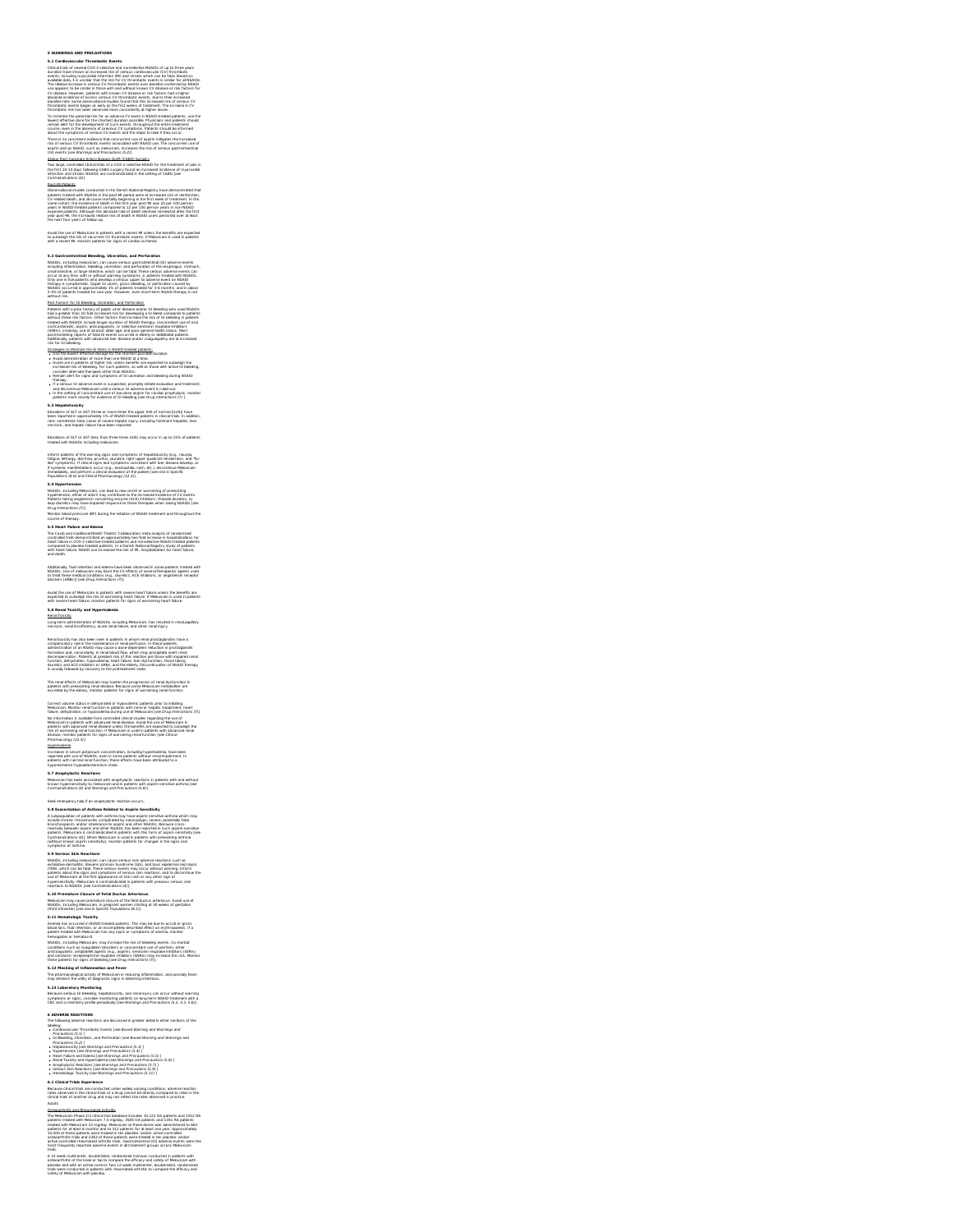**5 WARNINGS AND PRECAUTIONS 5.1 Cardiovascular Thrombotic Events**

Clinical trials of several COX-2 selective and nonselective NSADs of up to three years<br>duration have shown an increased risk of serious cardiovascular (CV) thrombotic<br>events, including myocardial infanction (M) and stroke,

 $\tilde{G}$  (distance Mesonwey, particular this formula condition of the final that is a state of the state. The state of the state of the state of the state of the state of the state of the state of the state of the state o

Two large, controled clinical trials of a COX-2 selective NSAID for the treatment of pain<br>the first 10-14 days following CABG surgery found an increased incidence of myocardial<br>infarction and stroke. NSAIDs are contraindic

Zeal All Engenis<br>College and the completion in the Damies Marional Registry have demonstrated that<br>College and the college and college and the college population of the first ends of twattents in the<br>College and college an

Avoid the use of Meloxicam in patients with a recent MI unless the benefits are expected<br>to outweigh the risk of recurrent CV thrombotic events. If Meloxicam is used in patients<br>with a recent MI. monitor patients for signs

3. 2 dimensional television (a la settema del matema del matematica del matematica estatentale del matematica del matematica del matematica del matematica del matematica del matematica del matematica del matematica del ma

Use the lowest effective dosage for the shortest possible diuration.<br>Avoid use in patients at higher risk unless benefits are expected to outweigh the<br>Avoid use in patients at higher risk unless benefits are expected to ou

therapy.<br>If a serious GI adverse event is suspected, promptly initiate evaluation and treatment,<br>and discontinue Meloxicam until a serious GI adverse event is ruled out.<br>In the setting of concombant use of low-dose aspirin

## **5.3 Hepatotoxicity**<br>Elivations of ALT or AST (three or more times the upper limit of normal (ULNI) have<br>been reported in approximately 1% of NSAID-treated patients in clinical trials. In addition,<br>rare, sometimes fatal, c

Elevations of ALT or AST (less than three times ULN) may occur in up to 15% of patients<br>treated with NSAIDs including meloxicam.

Inform pakients of the warming signs and symptoms of hepabtotoxichy (e.g., nausses,<br>Takipus, kehargy, diarrhea, pruntus, jaundice, right upper quadrant tendemess, and "flu-<br>Bad's symptoms). If clinical signs and symptoms c

**3. A hypertension**<br>In the most property in the state of the state of the most consideration of probability and the<br>Malenta Lakeya angles in the convention encyclos ACCI inhibitors, the based outlets, or<br>Plateriors Lakeya

**5.5 Heart Failure and Edema** The Coxib and traditional NSAID Trialists' Collaboration meta analysis of randomized

controllad trials demonstrated an approximately two-fold increase in hospitalizations for<br>heart fallure in COX-2 selective-treated patients and nonselective NSAID-treated patients<br>compared to placebo-treated patients. In a

Additionally, fluid retention and edema have been observed in some patients treated with<br>NSAIDs. Use of meloxicam may blunt the CV effects of several therapeutic agents used<br>to treat these medical conditions (e.g., diureti

Avoid the use of Meloxicam in patients with severe heart failure unless the benefits are<br>expected to outweigh the risk of worsening heart failure. If Meloxicam is used in patients<br>with severe heart failure, monitor patient

**5.6 Renal Toxicity and Hyperkalemia**<br><u>Renal Toxicky</u><br>Long-term administration of NSAIDs, including Meloxicam, has resulted in renal papillary<br>necrosis, renal insufficiency, acute renal falure, and other renal injury.

Result (suche): has also been seen in patients in whom renal prostagaments have<br>compensation of the history contribution of the competence of the second state of the second state of the secondary in the secondary of the se

The renal effects of Meloxicam may hasten the progression of renal dysfunction in<br>patients with preexisting renal disease. Because some Meloxicam metabolites are<br>excreted by the kidney, monitor patients for signs of worsen

Correct volume status in dehydrated or hypovolemic patients prior to initiating<br>Meloxicam. Monitor renal function in patients with renal or hepalic impairment, heart<br>failure, dehydration, or hypovolemia during use of Melox No information is available from controlled clinical studies regarding the use of<br>Meloxicam in patients with advanced renal disease. Avoid the use of Meloxicam in<br>patients with advanced renal disease unless the benefits ar

risk of worsening renal function. If Meloxicam is used in patients with advanced renal<br>disease, monitor patients for signs of worsening renal function [see Clinical<br>Pharenlalemia

Increases in serum potassium concentration, including hyperkalemia, have been<br>reported with use of NSAIDs, even in some patients without renal impairment. In<br>patients with normal renal function, these effects have been att

**5.7 Anaphylactic Reactions**<br>Meloxicam has been associated with anaphylactic reactions in patients with and without<br>known hypersensitivity to meloxicam and in patients with aspirin-sensitive asthma [see<br>Contraindications (

Seak encryptor (heli pai angle)-justice reaction occurs<br>15.46. Rosser basking of antibran Related to Aspirin Seassibility<br>15.36. Rosser basking and antibrance in the same of the season of the season of the season<br>16.41. Pr

3. 3 Serious Skich Reaction, can cause serious sión adverse reactions such as<br>refidiule notice that the serious care cause is entour side, and these enterpret internal<br>entitiative during the serious content symptom of sign

**5.10 Premature Closure of Fetal Ductus Arteriosus**<br>Meloxicam may cause premature closure of the fetal ductus arteriosus. Avoid use of<br>NSAIDs, including Meloxicam, in pregnant women starting at 30 weeks of gestation<br>(third

5.11 Mematedage Tookichy and Markets, This may be due to occult or gross<br>Anamia has occurred in NSAD-treated patients. This may be due to occult or gross<br>blood bisc, fusi-retainers, or an incompatedy described effect on ex

## **5.12 Masking of Inflammation and Fever**<br>**5.12 Masking of Inflammation and Fever**

The pharmacological activity of Meloxicam in reducing inflammation, and possibly fever,<br>may diminish the utility of diagnostic signs in detecting infections.

**5.13 Laboratory Monitoring**<br>Because serious Gl bleading, hepatotoxicly, and renal injury can occur without warning<br>symptoms or signs, consider monitoring patients on long-term NSAID treatment with a<br>CBC and a chemistry pr

is advanced MacPinois (1991)<br>
The material of the control of the control of the present detail in other sections of the<br>
C subsequenced Theoretics Control of the control of the control of the<br>
C discussions (1992)<br>
C discu

**6.1 Clinical Trials Experience**

Because clinical trials are conducted under widely varying conditions, adverse reaction<br>rates observed in the clinical trials of a drug cannot be directly compared to rates in the<br>clinical trials of another drug and may no Adults/Anti-Italian and Rheumatold Arthurist<br>The Makukican Phase 2/3 chincial Value in Cause Pictures 10.127 OA patients and 10:12 RA<br>The Makukican Phase C2 chincial Value Cause in Cause donce was administered to 661<br>Trian

active-controlled rheumatoid arthritis trials. Gastrointestinal (GI) adverse events were the<br>most frequently reported adverse events in all treatment groups across Meloxicam<br>Irials.<br>A 12-week multicenter, double-blind, ran osteoarthritis; of the knee or hip to compare the efficacy and safety of Meloxicam with<br>placebo and with an active control. Two 12-week multicenter, double-blind, randomized<br>trials were conductant with placebo.<br>safety of M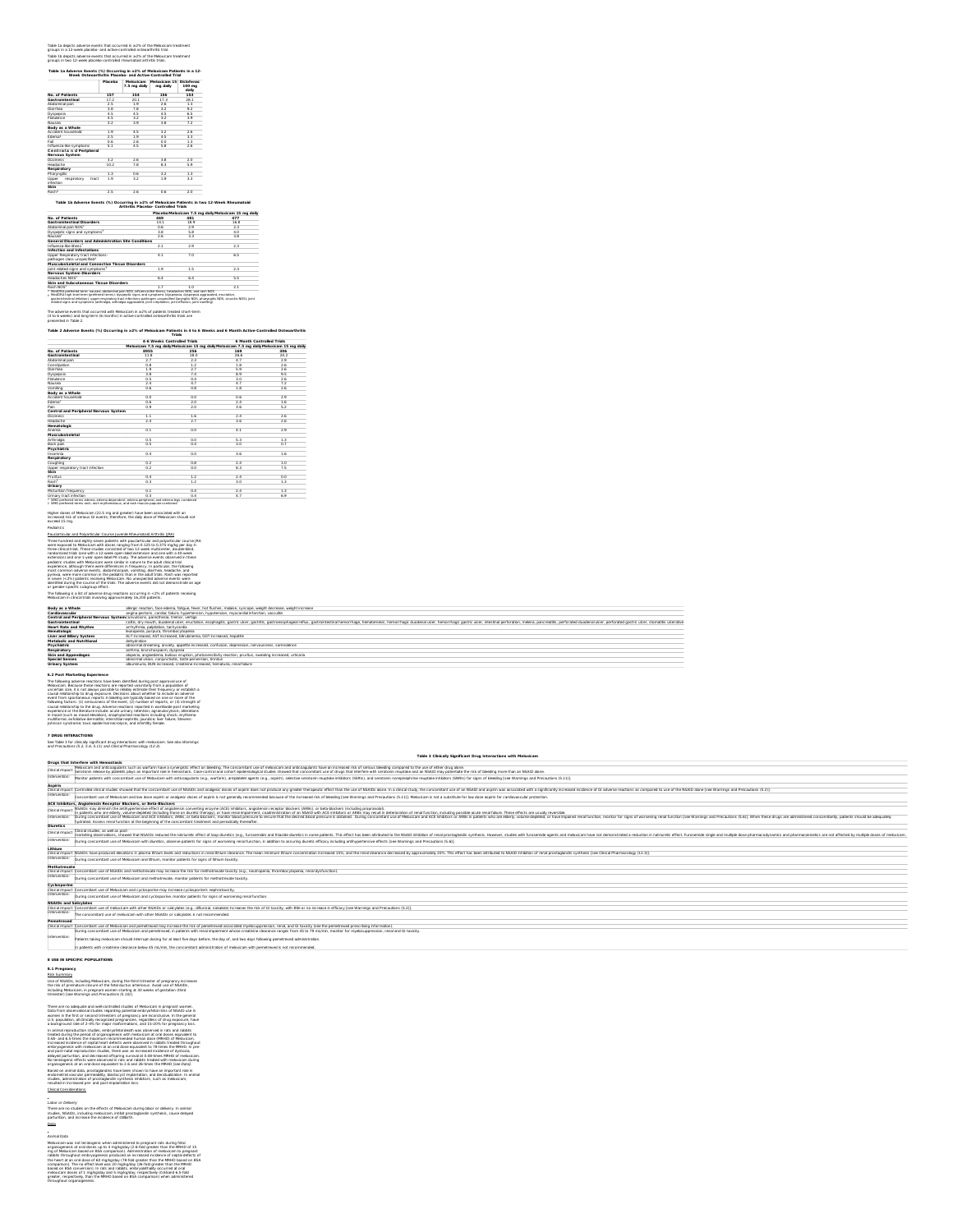Table 1a depicts adverse events that occurred in ≥2% of the Meloxicam treatment<br>groups in a 12-week placebo- and active-controlled osteoarthritis trial.<br>Table 1b depicts adverse events that occurred in ≥2% of the Meloxicam

Table 1a Adverse Events (%) Occurring in a2% of Meloxicam Patients in a 12-<br>Week Osteoarthritis Placebo- and Active-Controlled Trial **Placebo Meloxicam 7.5 mg daily Meloxicam <sup>15</sup> mg daily Diclofenac <sup>100</sup> mg daily No. of Patients 157 154 156 153 Gastrointestinal** 17.2 20.1 17.3 28.1 Abdominal pain 2.5 1.9 2.6 1.3 Diarrhea 3.8 7.8 3.2 9.2 Dyspepsia 4.5 4.5 4.5 6.5 Flatulence 4.5 3.2 3.2 3.9 Nausea 3.2 3.9 3.8 7.2 **Body as a Whole** Accident household 1.9 4.5 3.2 2.6 Edema<sup>2</sup> 2.5 1.9 4.5 3.3 Fall 0.6 2.6 0.0 1.3 Influenza-like symptoms 5.1 4.5 5.8 2.6 **C e ntral a n d Peripheral Nervous System** Dizziness 3.2 2.6 3.8 2.0 Headache 10.2 7.8 8.3 5.9 **Respiratory** Pharyngitis 1.3 0.6 3.2 1.3 Upper respiratory tract infection 1.9 3.2 1.9 3.3 **Skin** 2.5 2.6 0.6 2.0 Table 1b Adverse Events (%) Occurring in ≥2% of Meloxicam Patients in two 12-Week Rheumatoid<br>Arthritis Placebo- Controlled Trials No. of Patients<br> **ABO MARK READ MARK AREA**<br>**Gastrointestinal Disorders**<br> **ABO MARK READ MARK AREAD MARK AREAD MARK AREAD MARK AREAD MARK AREAD MARK AREAD MARK AREAD MARK AREAD MARK AREAD MARK AREAD MARK AREAD MARK AREAD MA** 1 2 \* †

| Maricea                                                                                                                                                                                                                                                                                                                                                                                                                                                                                            | 26 |    | રે પ્ર |
|----------------------------------------------------------------------------------------------------------------------------------------------------------------------------------------------------------------------------------------------------------------------------------------------------------------------------------------------------------------------------------------------------------------------------------------------------------------------------------------------------|----|----|--------|
| General Disorders and Administration Site Conditions                                                                                                                                                                                                                                                                                                                                                                                                                                               |    |    |        |
| Influenza.like ilness                                                                                                                                                                                                                                                                                                                                                                                                                                                                              |    |    |        |
| Infection and Infestations                                                                                                                                                                                                                                                                                                                                                                                                                                                                         |    |    |        |
| Upper Respiratory tract infections-<br>pathogen class unspecified!                                                                                                                                                                                                                                                                                                                                                                                                                                 |    |    |        |
| Musculoskeletal and Connective Tissue Disorders                                                                                                                                                                                                                                                                                                                                                                                                                                                    |    |    |        |
| oint related signs and symptoms!                                                                                                                                                                                                                                                                                                                                                                                                                                                                   |    |    |        |
| Nervous System Disorders                                                                                                                                                                                                                                                                                                                                                                                                                                                                           |    |    |        |
| Hearlanhed NYYS*                                                                                                                                                                                                                                                                                                                                                                                                                                                                                   |    | 64 |        |
| Skin and Subcutaneous Tissue Disorders                                                                                                                                                                                                                                                                                                                                                                                                                                                             |    |    |        |
| Rash NOS                                                                                                                                                                                                                                                                                                                                                                                                                                                                                           |    |    |        |
| - MedDRA preferred term: nausea, abdominal pain NOS, influenza-like iliness, headaches NOS, and rash NOS<br>MedDRA high level term (preferred terms); dyspeptic signs and symptoms (dyspeps)a, dyspeps)a apgrayabed, enuctation.<br>gastrointestinal intation), upper respiratory tract infections gathopen unspecified (lannotts NOS, pharynoltis NOS, sinusitis NOS), joint<br>related signs and symptoms (arthraigia, arthraigia aggregated, joint crepitation, joint effusion, joint swelling) |    |    |        |

## The adverse events that occurred with Meloxicam in ≥2% of patients treated short-term<br>(4 to 6 weeks) and long-term (6 months) in active-controlled osteoarthritis trials are<br>presented in Table 2.

|                                       | 4-6 Weeks Controlled Trials                                                               |          | 6 Month Controlled Trials |      |
|---------------------------------------|-------------------------------------------------------------------------------------------|----------|---------------------------|------|
|                                       | Meloxicam 7.5 mg daily Meloxicam 15 mg daily Meloxicam 7.5 mg daily Meloxicam 15 mg daily |          |                           |      |
| No. of Patients                       | 8955                                                                                      | 256      | 169                       | 306  |
| Gastrointestinal                      | 11.8                                                                                      | 180      | 26 K                      | 24.2 |
| Abdominal pain                        | 27                                                                                        | $^{2.3}$ | 47                        | 2.9  |
| Constipation                          | 0.8                                                                                       | $_{1.2}$ | 18                        | 2.6  |
| Diarrhea                              | 1.9                                                                                       | 27       | 59                        | 2.6  |
| Dyspepsia                             | २४                                                                                        | 74       | 89                        | 9.5  |
| Flatulence                            | 05                                                                                        | ô4       | २०                        | 2.6  |
| Nausea                                | $^{24}$                                                                                   | 4.7      | 4.7                       | 7.2  |
| Vomkina                               | 06                                                                                        | ň8       | 18                        | 2.6  |
| Body as a Whole                       |                                                                                           |          |                           |      |
| Accident household                    | n n                                                                                       | 0.0      | 06                        | 2.9  |
| Edema <sup>r</sup>                    | 0.6                                                                                       | $^{2.0}$ | 24                        | 1.6  |
| Pain                                  | 09                                                                                        | ንሰ       | 36                        | 5.2  |
| Central and Perioheral Nervous System |                                                                                           |          |                           |      |
| Dizziness                             | 11                                                                                        | 1.6      | 24                        | 2.6  |
| Headache                              | $^{24}$                                                                                   | 27       | 36                        | 2.6  |
| Hematologic                           |                                                                                           |          |                           |      |
| <b>Anoma</b>                          | 0.1                                                                                       | ô ô      | z,                        | 2.9  |
| Musculoskeletal                       |                                                                                           |          |                           |      |
| Arthraíoia                            | n s                                                                                       | ΰñ       | दर                        | 13   |
| Back pain                             | n s                                                                                       | ô4       | २०                        | 07   |
| Psychiatric                           |                                                                                           |          |                           |      |
| Insomnia                              | 0.4                                                                                       | ô ô      | 36                        | 1.6  |
| Respiratory                           |                                                                                           |          |                           |      |
| Coughing                              | 0.2                                                                                       | n R      | 24                        | 1.0  |
| Upper respiratory tract infection     | 0.2                                                                                       | 0.0      | श्रे रे                   | 75   |
| Skin                                  |                                                                                           |          |                           |      |
| Prunkus                               | 0.4                                                                                       | $^{1.2}$ | 24                        | 00   |
| Rachi                                 | 0.3                                                                                       | $^{1.2}$ | २०                        | 1.3  |
| Urinary                               |                                                                                           |          |                           |      |
| Micturition frequency                 | 01                                                                                        | 0.4      | 24                        | 1.3  |
| Urinary tract infection               | 0.3                                                                                       | ô4       | 47                        | 69   |

**Body as a Whole allergic reaction**, face edema, fatigue, fever, hot flushes, malaise, syncope, weight decrease, weight increase **Cardiovascular** angina pectoris, cardiac failure, hypertension, hypotension, myocardial infarction, vasculitis

**Skin and Appendages** alopecia, angioedema, bullous eruption, photosensitivity reaction, pruritus, sweating increased, urticaria

## Higher doses of Meloxicam (22.5 mg and greater) have been associated with an<br>increased risk of serious GI events; therefore, the daily dose of Meloxicam should not<br>exceed 15 mg.

| exceed 15 mg.                                                                                                                                                                                                                                                                                                                                                                                                                                                                                                                                                                                                                                                                                                                                                                                                                                                                                                                                                                                                                         |
|---------------------------------------------------------------------------------------------------------------------------------------------------------------------------------------------------------------------------------------------------------------------------------------------------------------------------------------------------------------------------------------------------------------------------------------------------------------------------------------------------------------------------------------------------------------------------------------------------------------------------------------------------------------------------------------------------------------------------------------------------------------------------------------------------------------------------------------------------------------------------------------------------------------------------------------------------------------------------------------------------------------------------------------|
| Portatrice                                                                                                                                                                                                                                                                                                                                                                                                                                                                                                                                                                                                                                                                                                                                                                                                                                                                                                                                                                                                                            |
| Pauciarticular and Polyarticular Course Juvenile Rheumatoid Arthritis (IRA)                                                                                                                                                                                                                                                                                                                                                                                                                                                                                                                                                                                                                                                                                                                                                                                                                                                                                                                                                           |
| Three hundred and eighty-seven patients with pauciarticular and polyarticular course IRA<br>were exposed to Meloxicam with doses ranging from 0.125 to 0.375 mg/kg per day in<br>three clinical trials. These studies consisted of two 12-week multicenter, double-blind.<br>randomized trials (one with a 12-week open-label extension and one with a 40-week<br>extension) and one 1-year open-label PK study. The adverse events observed in these<br>pediatric studies with Meloxicam were similar in nature to the adult clinical trial<br>experience, although there were differences in frequency, In particular, the following<br>most common adverse events, abdominal pain, vomiting, diarrhea, headache, and<br>ovrexia, were more common in the pediatric than in the adult trials. Rash was reported<br>n seven (<2%) patients receiving Meloxicam. No unexpected adverse events were<br>dentified during the course of the trials. The adverse events did not demonstrate an age<br>or gender-specific subgroup effect. |
| The following is a list of adverse drug reactions occurring in $<$ 2% of patients receiving<br>Meloxicam in clinical trials involving approximately 16,200 patients.                                                                                                                                                                                                                                                                                                                                                                                                                                                                                                                                                                                                                                                                                                                                                                                                                                                                  |
|                                                                                                                                                                                                                                                                                                                                                                                                                                                                                                                                                                                                                                                                                                                                                                                                                                                                                                                                                                                                                                       |

**Central and Peripheral Nervous System**convulsions, paresthesia, tremor, vertigo

**Special Senses** abnormal vision, conjunctivitis, taste perversion, tinnitus **Urinary System** albuminuria, BUN increased, creatinine increased, hematuria, renal failure

**Heart Rate and Rhythm** arrhythmia, palpitation, tachycardia **Hematologic** leukopenia, purpura, thrombocytopenia **Liver and Biliary System** ALT increased, AST increased, bilirubinemia, GGT increased, hepatitis **Metabolic and Nutritional** dehydration **Psychiatric** abnormal dreaming, anxiety, appetite increased, confusion, depression, nervousness, somnolence **Respiratory** asthma, bronchospasm, dyspnea

### **6.2 Post Marketing Experience**

The Moneting advance matches in boxels and the parameteristic description and the matches and the matches and the matches are considered in the matches of the matches and considered in the matches of the matches and consi

**7 DRUG <b>INTERACTIONS**<br>See Table 3 for clinically significant drug interactions with meloxicam. See also Warnings<br>and Precautions (5.2, 5.6, 5.11) and Clinical Pharmacology (12.3).

|                               | Table 3 Clinically Significant Drug Interactions with Meloxicam                                                                                                                                                                                                                                                                                                                                         |
|-------------------------------|---------------------------------------------------------------------------------------------------------------------------------------------------------------------------------------------------------------------------------------------------------------------------------------------------------------------------------------------------------------------------------------------------------|
|                               | <b>Orugs that Interfere with Hemostasis</b>                                                                                                                                                                                                                                                                                                                                                             |
| Clinical Immach               | Nebsican and anticage later several man as pyrenist effect on bleeding. The concentrate use of mebody and articage later and and ince in creased risk of series theories between being compared to the series of dugs that int                                                                                                                                                                          |
| intervention:                 | Monitor patients with concombant use of Meloxicam with anticoapulants (e.o., warfarin), antiplatelet appents (e.o., aspirin), selective serotonin reuptake inhibitors (SSRIs), and serotonin rorepinephrine reuptake inhibitor                                                                                                                                                                          |
| Aspirin                       |                                                                                                                                                                                                                                                                                                                                                                                                         |
| <b>Incal Impact</b>           | Controlled chical studies showed that the concombant use of NSAIDs and anabosic doses of aspirin does not produce any greater therapeutic effect than the use of NSAIDs above. In a clinical study, the concombant use of an N                                                                                                                                                                          |
| intervention:                 | loncombant use of Meloxicam and low dose aspirin or analogsic doses of aspirin is not generally recommended because of the increased risk of bleeding Isee Warnings and Precautions (5.11)). Meloxicam is not a substitute for                                                                                                                                                                          |
|                               | <b>ACE Inhibitors, Angiotensin Receptor Blockers, or Beta-Blockers</b>                                                                                                                                                                                                                                                                                                                                  |
| Clinical Impa                 | liminish the anthypertensive effect of angiotensin converting enzyme (ACE) inhibitors, angiotensin receptor blockers (ARBs), or beta-blockers (including propranolol)<br>n nationts who are elderly unknowledged finduling those on duratir therany) or have renal innairment coadministration of an NSAID with ACF inhibitors or ARRs may result in deterioration of renal function are result and res |
| :ntervention                  | During concombant use of Meloxicam and ACE inhibitors. ARBs. or beta-blockers, monitor blood oressure to ensure that the desired blood pressure is obtained. During concombant use of Meloxicam and ACE inhibitors or ARBs in<br>wdrated. Assess renal function at the beginning of the concomitant treatment and periodically thereafter.                                                              |
| <b>Diuretics</b>              |                                                                                                                                                                                                                                                                                                                                                                                                         |
| Clinical Impac                | línical studies, as well as post-<br>marketing observations, showed that NSAIDs reduced the natriuretic effect of bog diuretics (e.g., furosemide) and thiazide diuretics in some patients. This effect has been attributed to the NSAID inhibition of renal presta                                                                                                                                     |
| Intervention:                 | During concomitant use of Meloxicam with diuretics, observe patients for signs of worsening renal function, in addition to assuring diuretic efficacy including antifypertensive effects Isee Warnings and Precautions (5.6).                                                                                                                                                                           |
| Lithium                       |                                                                                                                                                                                                                                                                                                                                                                                                         |
| Clinical Impact:              | WSAIDs have produced elevations in plasma lthum levels and reductions in renal ithium clearance. The mean minimum lthium concentration increased 15%, and the renal clearance decreased by approximately 20%. This effect has                                                                                                                                                                           |
| Intervention:                 | During concomitant use of Meloxicam and Ithium, monitor patients for signs of Ethium toxicity.                                                                                                                                                                                                                                                                                                          |
| Methotrexate                  |                                                                                                                                                                                                                                                                                                                                                                                                         |
| Clinical Impact:              | Concomitant use of NSAIDs and methotrecate may increase the risk for methotrecate toxicity (e.g., neutropenia, thrombocytopenia, renal dysfunction                                                                                                                                                                                                                                                      |
| Intervention:                 | During concomitant use of Meloxicam and methotrexate, monitor patients for methotrexate toxicity.                                                                                                                                                                                                                                                                                                       |
| Cyclosporine                  |                                                                                                                                                                                                                                                                                                                                                                                                         |
|                               | Clinical Impact: Concomitant use of Meloxicam and cyclosporine may increase cyclosporine's nephrotoxicity.                                                                                                                                                                                                                                                                                              |
| ntervention:                  | During concomitant use of Meloxicam and cyclosporine, monitor patients for signs of worsening renal function                                                                                                                                                                                                                                                                                            |
| <b>NSAIDs and Salicylates</b> |                                                                                                                                                                                                                                                                                                                                                                                                         |
| Clinical Impact:              | Concombant use of meloxicam with other NSAIDs or salcylates (e.g.; difunisal; salsalate) increases the risk of GI toxicity, with little or no increase in efficacy Isee Warnings and Precautions (5.2)].                                                                                                                                                                                                |
| ntervention:                  | he concomitant use of meloxicam with other NSAIDs or salicylates is not recommended.                                                                                                                                                                                                                                                                                                                    |
| Pemetrexed                    |                                                                                                                                                                                                                                                                                                                                                                                                         |
| Incal Impact:                 | Concomitant use of Meloxicam and pemetrexed may increase the risk of pemetrexed-associated myelosuppression, renal, and GI toxicity (see the pemetrexed prescribing information                                                                                                                                                                                                                         |
|                               | During concomitant use of Meloxicam and pernetrexed: in patients with renal impairment whose creatinine clearance ranges from 45 to 79 millimin; monitor for myelosuppression; renal and GI toxicity.                                                                                                                                                                                                   |
| ntervention                   | Patients taking meloxicam should interrupt dosing for at least five days before, the day of, and two days following permitrexed administration.                                                                                                                                                                                                                                                         |
|                               | n nationts with creatining clearance holive 45 ml (min_the concomitant administration of moinvicam with nemetreved is not recommended                                                                                                                                                                                                                                                                   |

Coltis, dry mouth, duodenal ulcer, eructation, esophagtis, gastric ulcer, gastritis, gastroesophageal reflux, gastrointestinal hemorrhage, hematemesis, hemorrhagic duodenal ulcer, intestinal perforation, melena, pancreatit

**8 USE IN SPECIFIC POPULATIONS 8.1 Pregnancy** Risk Summary trimester) [see Warnings and Precautions (5.10)].

Use of NSAIDs, including Meloxicam, during the third trimester of pregnancy increases<br>the risk of premature closure of the fetal ductus arteriosus. Avoid use of NSAIDs,<br>including Meloxicam, in pregnant women starting at 30

The wave translated as a set of second distribution (i.e., the second as a set of second and the second of second distribution of second and second the second of second and second and second the second of second and  $\alpha$ 

Labor or Delivery<br>There are no studies on the effects of Meloxicam during labor or delivery. In animal<br>studies, NSAIDs, including meloxicam, inhibit prostaglandin synthesis, cause delayed<br>parturition, and increase the inci studies, NSAIDs, including meloxicam, inhibit prostaglandin synthesis, cause delayed<br>parturition, and increase the incidence of stillbirth.<br>Data

Animal Diam<br>Mission and the state of the state of the mission of the program rate during facial<br>Mission and the state of the state of the state of the state of the<br>Mission and the state of the state of the state of the sta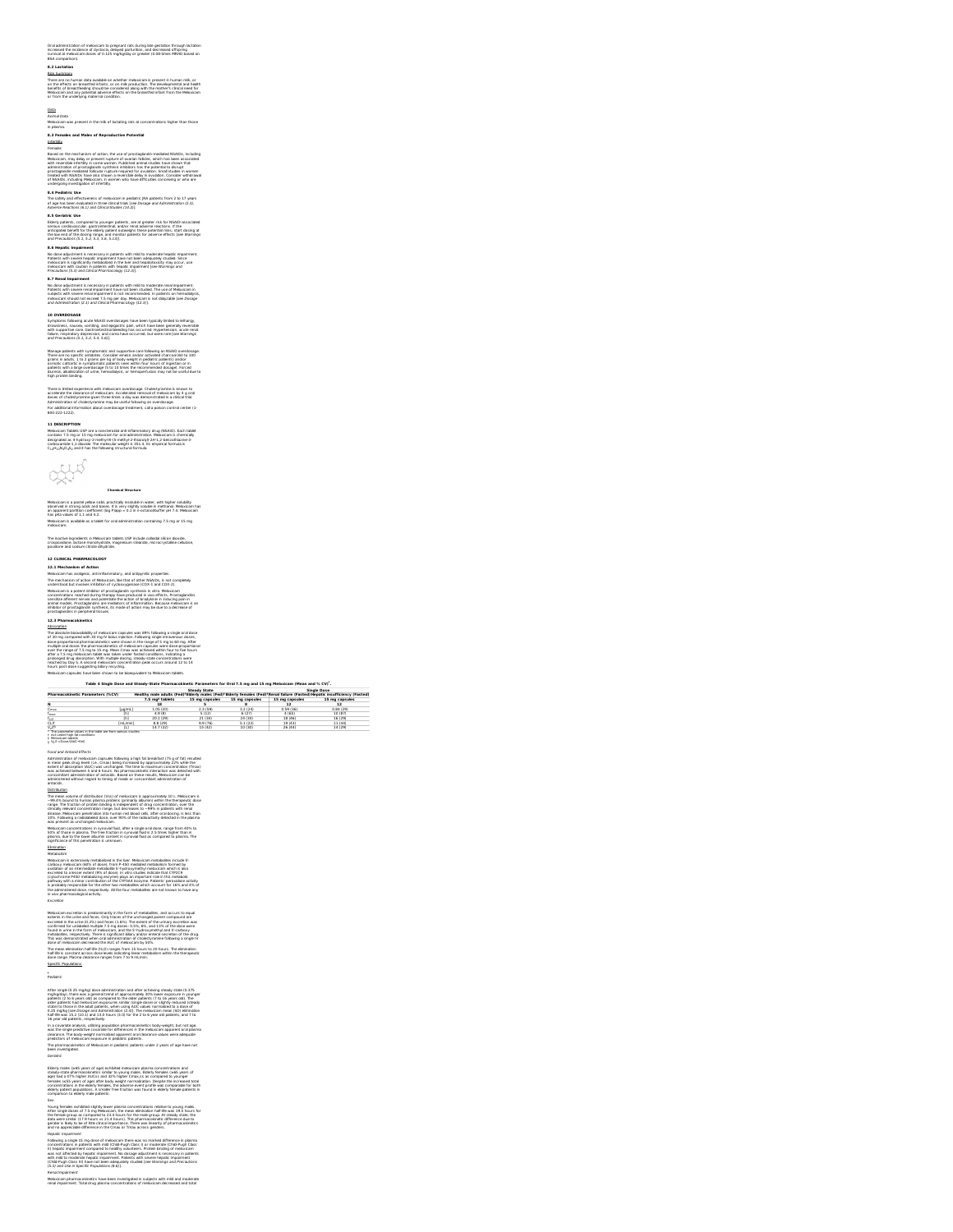## Orali administration of maloxicam to pregnant rats during lake gestation through lactation<br>increased the incidence of dystocia, delayed parturition, and decreased offspring<br>survival at meloxicam doses of 0.125 mg/kglday or

8.2 Lectadorum<br>There are no human data available on whether melaxicani is present in human mile, or<br>Om the effects on breastfed infants, or on milk production. The developmental and health<br>ownthe, of termstified infants, o

<u>Data</u><br>Animal Data<br>Meloxicam was present in the milk of lactating rats at concentrations higher than those<br>in plasma.

E.) Females and Makes of Reproductive Peterstial<br>Infinite: Interaction of activity of the Constantine Commission and Constantine (SAC), including<br>Makes an University and activity of a constant of the Commission and Law<br>Mak

The safety and effectiveness of meloxicam in pediatric JRA patients from 2 to 17 years<br>of age has been evaluated in three clinical trials [see Dosage and Administration (2.3),<br>Adverse Reactions (6.1) and Clinical Studies (

**EX detailed the analysis (a)** the property of the star of product (a) is the USED in secondary of the star of the star of the star of the star of the star of the star of the star of the star of the star of the star of th

8.7 Renal Impairment<br>No dose adjustment is necessary in patients with mild to moderate renal impairment.<br>Patients with severe renal impairment have not been studied. The use of Matoscam in<br>subjects with severe renal impair

10 OVERIODSAGE<br>Symptoms (Sobwing acude NSAID overdosages have been typically limited to lethargy,<br>drowsiness, nastesa, vomiting, and epipatric pain, which have been pennrally reversible<br>with supportive care. Gastrointestin

## Manage patients with symptomatic and supportive care following an NSAID overdosage.<br>There are no specific antidotes. Consider emesis and/or activated charcoal (60 to 100<br>oranns in adults. 1 to 2 oranns oer ko of body weigh

osmotic cathartic in symptomatic patients seen within four hours of ingestion or in<br>patients with a large overdosage (5 to 10 times the recommended dosage). Forced<br>diuresis, alkalinization of urine, hemodialysis, or hemope

There is limited experience with meloxicam overdosage. Cholastyramine is known to<br>accelerate the clearance of meloxicam. Accelerated removal of meloxicam by 4 g oral<br>doses of cholastyramine given three times a day was demo

## 11 DESCRIPTION<br>Melos'cam Triblets USP are a nonsteroidal anti-influenzatory drug (NSAID). Each taiblet<br>contains 7.5 mg or 15 mg malaxicam for oral administration. Meloscicam is chemically<br>designated as 4-hydroxy-2-methyl-N



## **Chemical Structure** Meleoscam is a pastel yelber sold, practically insoluble in water, with higher solubility<br>abserved in strong actis and bases. It is very slightly soluble in methanol. Meleoscam has<br>an apparent particlen coefficient (log P)

## The inactive ingredients in Meloxicam tablets USP include colloidal silicon dioxide,<br>crospovidone, lactose monohydrate, magnesium stearate, microcrystalline cellulose,<br>povidone and sodium citrate dihydrate.

## **12 CLINICAL PHARMACOLOGY**

**12.1 Mechanism of Action**

Melascam has avalyaci, sub-filmematory, and artistynts proportions.<br>The mechanism of action of Melascam, it as that of other KSUDs, is not completely approach to the control of the<br>mechanism of action of the control propor

ablantificant - Soundainly of resinction convertion RPS themen is trajector does.<br>In the comparation in the convertise of the state of the state of the state of the state of the state of the s<br>contract convertise in the st

| Table 4 Single Dose and Steady-State Pharmacokinetic Parameters for Oral 7.5 mg and 15 mg Meloxicam (Mean and % CV)". |                                  |               |                             |                     |                |                |                                                                                                                                                                  |
|-----------------------------------------------------------------------------------------------------------------------|----------------------------------|---------------|-----------------------------|---------------------|----------------|----------------|------------------------------------------------------------------------------------------------------------------------------------------------------------------|
|                                                                                                                       |                                  |               |                             | <b>Steady State</b> |                |                | <b>Single Dose</b>                                                                                                                                               |
|                                                                                                                       | Pharmacokinetic Parameters (%CV) |               |                             |                     |                |                | Healthy male adults (Fed) <sup>t</sup> Elderly males (Fed) <sup>t</sup> Elderly females (Fed) <sup>t</sup> Renal failure (Fasted) Hepatic insufficiency (Fasted) |
|                                                                                                                       |                                  |               | 7.5 mm <sup>2</sup> tablets | 15 mm canculas      | 15 mn cansules | 15 mm canculas | 15 mn cancules                                                                                                                                                   |
| м                                                                                                                     |                                  |               |                             |                     |                |                |                                                                                                                                                                  |
| <b>Cours</b>                                                                                                          |                                  | <b>Fug/mL</b> | 1.05.(20)                   | 2.3(59)             | 3.2.1241       | 0.59.68        | 0.84(29)                                                                                                                                                         |
|                                                                                                                       |                                  | FA-T          | 4 4 4 4 4 5 6               | F 43 5 0            | 0.1233         | 4.4003         | 3.0.1070                                                                                                                                                         |

## <u>ing and a strategy in the strategy of the strategy of the strategy of the strategy of the strategy of the stra<br>Out the strategy of the strategy of the strategy of the strategy of the strategy of the strategy of the strate</u> max<br>1/2<br>/<sub>2</sub>/1<sup>5</sup>

\* The<br>† notu<br>‡ Nelo<br>§ V2/f

Food and Articles (Effects (m. 1990)<br>Andreas Maria (m. 1990)<br>Andreas Maria (m. 1990)<br>Andreas Maria (m. 1990)<br>Andreas Maria (m. 1990)<br>Andreas Maria (m. 1991)<br>Andreas Maria (m. 1991)<br>Andreas Maria (m. 1991)<br>Andreas Maria (m.

Metadosim<br>Relativismo in entertaine) metabolismo in the laser. Metaculam metabolismi include 3:<br>Consideration of a prince metabolismically by Aprica provider metabolismical and a subscription of a prince metabolismically a

Melaxicam escrittés is predominatibly in the form of metabolises, and occurs to equal<br>esterist in the urine and faces. Only traces of the unchanged parent compound are<br>esteristed in the urine (i). 2%) and foces (1,8%). The

dose of meloxicam decreased the AUC of meloxicam by 50%.<br>The mean elimination half-life (t1,2) ranges from 15 hours to 20 hours. The elimination<br>half-life is constant across dose levels indicating linear metabolism within Specific Populations

### Pediatric

After ence in 25. major gas also an encertainment and also achievely states and 0.375 of the states and 0.575 of the states and also constructed to the state states and 0.575 of the states and 0.575 of the states and 0.57

Elistiyi makis (a:55 years of ago) exhibitable makistacin plasma concontrations and<br>ago) had a 47% higher ALICss and 32% higher Crows c as compared to younger<br>ago) had a 47% higher ALICss and 32% higher Crows c as compared

## -----<br>Young females exhibited slightly lower plasma concentrations relative to young males.<br>After single doses of 7.5 mg Meloxicam, the mean elimination half-life was 19.5 hours.

αλλη και το διαδικού και το διαδικού και το διαδικού και το διαδικού και το διαδικού και το διαδικού και το δια<br>είναι το διαδικού το διαδικού και το διαδικού και το διαδικού και το διαδικού και το διαδικού και το διαδικο

Meloxicam pharmacokinetics have been investigated in subjects with mild and moderate renal impairment. Total drug plasma concentrations of meloxicam decreased and total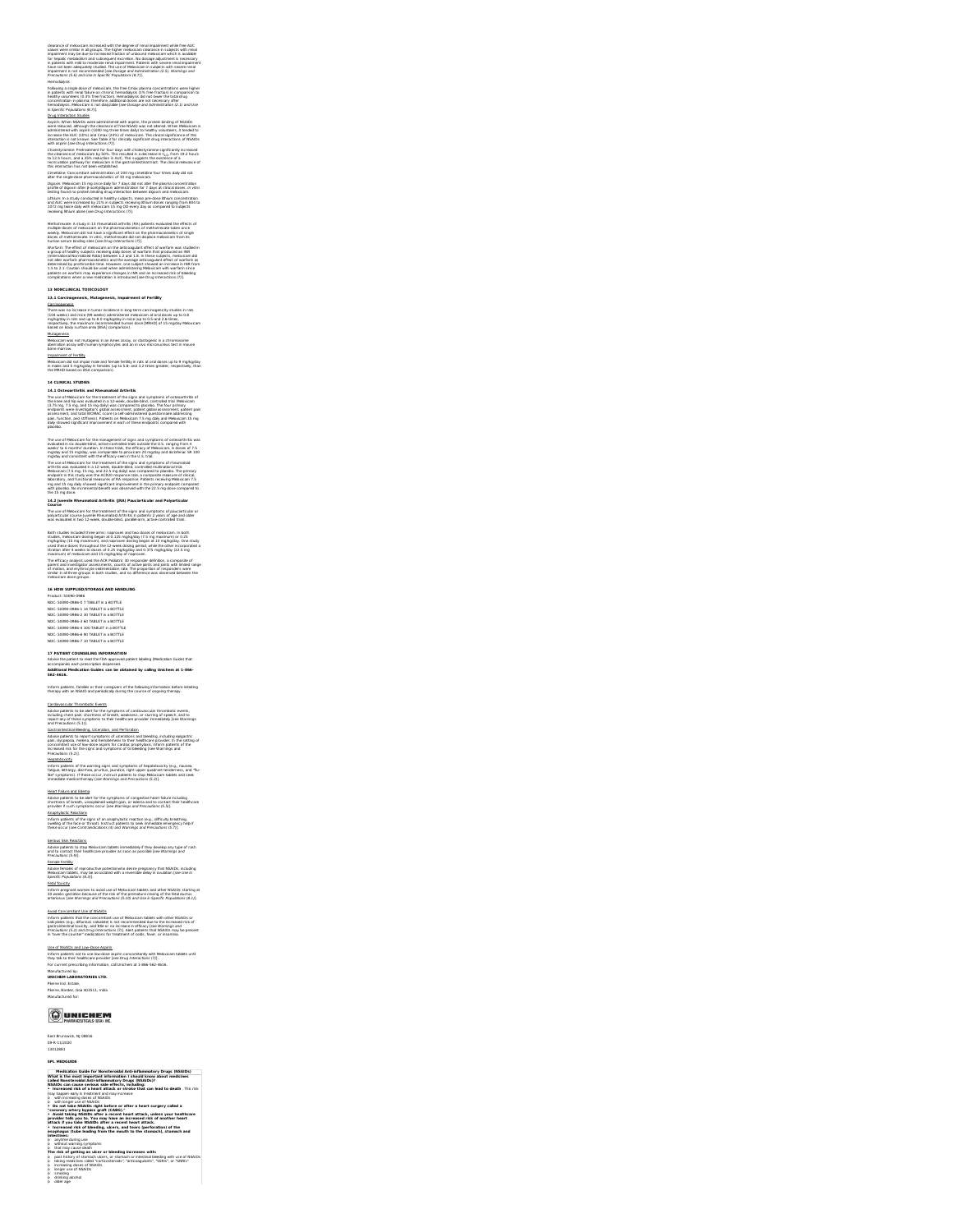Cain area of methods in Kercelesch and Direct control in the state of the property of the state of the state of the state of the state of the state of the state of the state of the state of the state of the state of the s

Following a single dose of meloxicam, the free Criux splasma concentrations were higher<br>in patients with renal fallure on chronic hemodialysis (15% free fraction) in comparison to<br>healthy volunteers (0.3% free fraction). H

## Dany Internation RSAddise<br>Acquiries When NSAddise were administered with aspirin, the problem binding of NSA(Ds<br>were reduced, although the classrates of free NSA(I) was not althout. When National is<br>administered with aspir

## C'holastyramine: Pretreatment for four days with chokestyramine significantly increased<br>the clearance of melosicsm by SO%. This resulted in a decrease in t<sub>1.02</sub> from 19.2 hours<br>to 12.5 hours, and a 35% reduction in thic,

Cimetidine: Concomitant administration of 200 mg cimetidine four times daily did not<br>alter the single-dose pharmacokinetics of 30 mg meloxicam. Digoxér: Meloxicam 15 mg once daily for 7 days did not alter the plasma concentration<br>profile of digoxin after β-acetyldigoxin administration for 7 days at clinical doses. In vitro<br>testing found no protein binding drug int

Libhum: In a study conducted in healthy subjects, mean pre-dose lithium concentration<br>and AUC were increased by 21% in subjects receiving lithium doses ranging from 804 to<br>1072 mg twice daily with meloxicam 15 mg QD every

Mesophone Ake Amaly In 3.1 for the weak of Figure 1.1 for the second of the second of the second second terms of the second of the second of the second of the second of the second of the second of the second of the second

13 MONCLIMCAL TOXICO COOP<br>13 March 2004 - March 2004 (March 2004), Impalment of Fertility<br>There was no increase in burnor incidence in long-term carcinogenicity studies in rats<br>There was no increase in burnor incidence in

Muta<u>penesis</u><br>Meloxicam was not mutagenic in an Ames assay, or clastogenic in a chromosome<br>aberration assay with human lymphocytes and an in vivo micronucleus test in mouse<br>Impairment of Fertility.<br>Impairment of Fertility.

Meloxicam did not impair male and female fertility in rats at oral doses up to 9 mg/kg/day<br>in males and 5 mg/kg/day in females (up to 5.8- and 3.2-times greater, respectively, than<br>the MRHD based on BSA comparison).

 $14.4$  Church, at TUDNE<br>The use of Mobilization and Rheumatelell Arthritis and symptoms of estimativities of<br>The use of Mobilization (or the tracement of the signs and symptoms of estimativities of<br>the tree and hip was ev

# The same of Modescale for the measurement of which and produced sections of extension of the measurement of the measurement of the measurement of the measurement of the measurement of the measurement of the measurement of

**14.2 Juvenile Rheumatoid Arthritis (JRA) Pauciarticular and Polyarticular Course** The use of Meloxicam for the treatment of the signs and symptoms of pauciarticular or<br>polyarticular course Juvenile Mheumatoid Arthritis in patients 2 years of age and older<br>was evaluated in two 12-week, double-blind, para

Bisch Koriste konkted föres americanspersent att fram det föreste differentare. In both<br>In mytologikar (15 mg maximum), and nagrassen data föres and metalskapel in förestare.<br>In mytologikar (15 mg maximum), and nagrassen d

17 PATIENT COUNSELING INFORMATION<br>Advise the patient to read the FDA-approved patient labeling (Medication Guide) that<br>Additional Medication Guides can be obtained by calling Unichem at 1-866-<br>Additional Medication Guides Inform patients, families or their caregivers of the following information before initiating therapy with an NSAID and periodically during the course ofongoing therapy.

Advise patients to be alert for the symptoms of cardiovascular thrombotic events,<br>including chest pain, shortness of breath, weakness, or slurring of speech, and to<br>and Precautions (5.1).<br>alstrointestinal Bleading. Utserat Advise patients: to report symptoms of ulcerations and bleeding, including epipaticle<br>pain, dyspepsia, melena, and hematemesis to their healthcare provider. In the setting of<br>increosed risk for the signs and symptoms of GI H<u>enatotovicky</u><br>Inform patients of the warning signs and symptoms of hepatotoxicky (e.g., nausee,<br>Tatigue, kethargy, diarrhea, pruritus, jaundice, right upper quadrant tenderness, and "flu-<br>like's symptoms). If these occur Heart Failure and Edisma.<br>Advise patients to be alert for the symptoms of congestive heart failure including<br>shortness of breath, unexplained weight gain, or edems and to contact their healthcare<br>provider if such symptoms <u>Anaphylactic Reactions.</u><br>Inform patients of the signs of an anaphylactic reaction (e.g., difficulty breathing,<br>swelling of the face or throat). Instruct patients to seek immediate emergency help if<br>these occur [see Contra

Advise patients to stop Meloxicam tablets immediately if they develop any type of rash<br>and to contact their healthcare provider as soon as possible [see Warnings and<br>Female Fertility Advise females of reproductive potential who desire pregnancy that NSAIDs, including<br>Meloxicam tablets, may be associated with a reversible delay in ovulation [see *Use in*<br>Specific Populations (8.3)].

Inform pregnant women to avoid use of Meloxicam tablets and other NSAIDs starting at<br>30 weeks gestation because of the risk of the premature closing of the fetal ductus<br>arteriosus (see Warninos and Precautions (5.10) and U Avail Concomitant Use on Malalita<br>Inform patients: that the concomitant use of Meloxicam tablets with other NSAIDs or<br>saleystice (e.g., diffured), saksilable is not recommended slue to the increased risk of<br>gastrointestina

<u>Use of NSAIDs and Low-Dose Aspirin</u><br>Inform patients not to use low-dose aspirin concomitantly with Meloxicam tablets until<br>they tak to their healthcare provider [see Drug Interactions (7)].<br>For current prescribing informa

Medication Guide for Nonsteroidal Anti-inflammatory Drugs (NSAIDs)<br>What is the most important information I should know about medicines called Nonsteroidal Anti-inflammatory Drugs (NSADs)?<br>NSAIDs can cause serious side effects, including:<br>• Increased risk of a heart attack or stroke that can lead to death . This risk<br>may happen early in treatment and may i in which counting down of NSADS.<br>The interval of the state of the state of the state and the state of the state of the state of the state of the state of the state of the state of the state of the state of the state of the

is amythme during use<br>and the market states and the resulting increases with the market of the market of the market of the market of<br>but may rated during an ulter or to be disned to the clinary larger of the state of the s

Cardiovascular Thrombotic Events

Serious Skin Reactions

Fetal Toxicity

Manufactured by:<br>**UNICHEM LABORATORIES LTD.**<br>Pilerne Ind. Estate,<br>Pilerne, Bardez, Goa 403511, India<br>Manufactured for:

East Brunswick, NJ 08816 09-R-11/2020 13012881 **SPL MEDGUIDE**

**OUNICHEM** 

o drinking alcohol<br>o older age

16 MW SUPPLIED/STORAGE AND HANDLING<br>Product: 50090-0986<br>NDC: 50090-0986 - 07 TABLET in a BOTTLE<br>NDC: 50090-0986-1 14 TABLET in a BOTTLE<br>NDC: 50090-0986-2 30 TABLET in a BOTTLE<br>NDC: 50090-0986-3 60 TABLET in a BOTTLE<br>NDC: 5